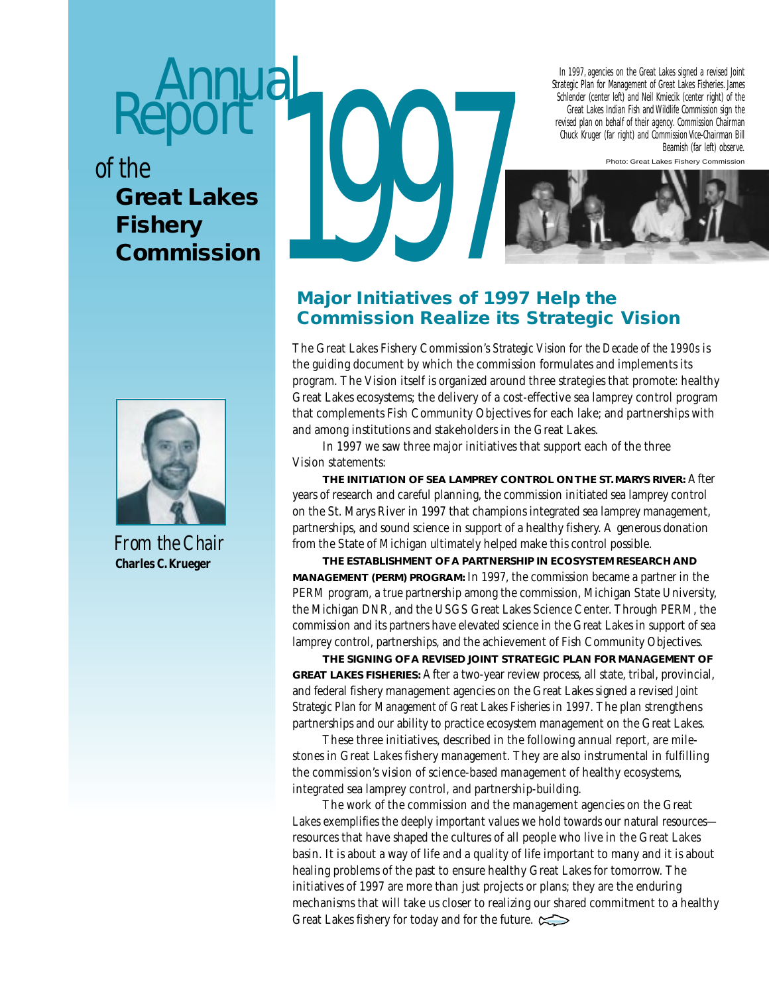# **Annual** Report

*of the*

# **Fishery Commission**



*From the Chair*  **Charles C. Krueger**

# The Great Lakes<br>Fishery<br>Commission In 1997, agencies on the Great Lakes signed a revised Joint Strategic Plan for Management of Great Lakes Fisheries. James Schlender (center left) and Neil Kmiecik (center right) of the Great Lakes Indian Fish and Wildlife Commission sign the revised plan on behalf of their agency. Commission Chairman Chuck Kruger (far right) and Commission Vice-Chairman Bill Beamish (far left) observe. Photo: Great Lakes Fishery Commission

# **Major Initiatives of 1997 Help the Commission Realize its Strategic Vision**

The Great Lakes Fishery Commission's *Strategic Vision for the Decade of the 1990s* is the guiding document by which the commission formulates and implements its program. The Vision itself is organized around three strategies that promote: healthy Great Lakes ecosystems; the delivery of a cost-effective sea lamprey control program that complements Fish Community Objectives for each lake; and partnerships with and among institutions and stakeholders in the Great Lakes.

In 1997 we saw three major initiatives that support each of the three Vision statements:

**THE INITIATION OF SEA LAMPREY CONTROL ON THE ST. MARYS RIVER:** After years of research and careful planning, the commission initiated sea lamprey control on the St. Marys River in 1997 that champions integrated sea lamprey management, partnerships, and sound science in support of a healthy fishery. A generous donation from the State of Michigan ultimately helped make this control possible.

**THE ESTABLISHMENT OF A PARTNERSHIP IN ECOSYSTEM RESEARCH AND MANAGEMENT (PERM) PROGRAM:** In 1997, the commission became a partner in the PERM program, a true partnership among the commission, Michigan State University, the Michigan DNR, and the USGS Great Lakes Science Center. Through PERM, the commission and its partners have elevated science in the Great Lakes in support of sea lamprey control, partnerships, and the achievement of Fish Community Objectives.

**THE SIGNING OF A REVISED JOINT STRATEGIC PLAN FOR MANAGEMENT OF GREAT LAKES FISHERIES:** After a two-year review process, all state, tribal, provincial, and federal fishery management agencies on the Great Lakes signed a revised *Joint Strategic Plan for Management of Great Lakes Fisheries* in 1997. The plan strengthens partnerships and our ability to practice ecosystem management on the Great Lakes.

These three initiatives, described in the following annual report, are milestones in Great Lakes fishery management. They are also instrumental in fulfilling the commission's vision of science-based management of healthy ecosystems, integrated sea lamprey control, and partnership-building.

The work of the commission and the management agencies on the Great Lakes exemplifies the deeply important values we hold towards our natural resources resources that have shaped the cultures of all people who live in the Great Lakes basin. It is about a way of life and a quality of life important to many and it is about healing problems of the past to ensure healthy Great Lakes for tomorrow. The initiatives of 1997 are more than just projects or plans; they are the enduring mechanisms that will take us closer to realizing our shared commitment to a healthy Great Lakes fishery for today and for the future.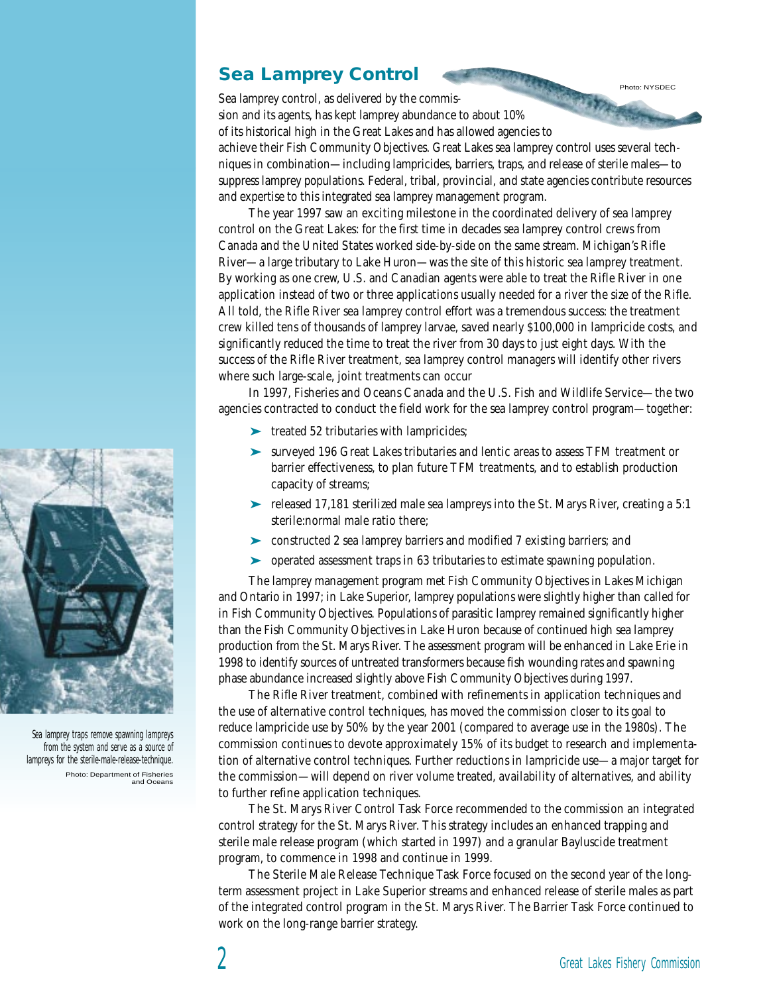# **Sea Lamprey Control**

Sea lamprey control, as delivered by the commission and its agents, has kept lamprey abundance to about 10% of its historical high in the Great Lakes and has allowed agencies to

achieve their Fish Community Objectives. Great Lakes sea lamprey control uses several techniques in combination—including lampricides, barriers, traps, and release of sterile males—to suppress lamprey populations. Federal, tribal, provincial, and state agencies contribute resources and expertise to this integrated sea lamprey management program.

The year 1997 saw an exciting milestone in the coordinated delivery of sea lamprey control on the Great Lakes: for the first time in decades sea lamprey control crews from Canada and the United States worked side-by-side on the same stream. Michigan's Rifle River—a large tributary to Lake Huron—was the site of this historic sea lamprey treatment. By working as one crew, U.S. and Canadian agents were able to treat the Rifle River in one application instead of two or three applications usually needed for a river the size of the Rifle. All told, the Rifle River sea lamprey control effort was a tremendous success: the treatment crew killed tens of thousands of lamprey larvae, saved nearly \$100,000 in lampricide costs, and significantly reduced the time to treat the river from 30 days to just eight days. With the success of the Rifle River treatment, sea lamprey control managers will identify other rivers where such large-scale, joint treatments can occur

In 1997, Fisheries and Oceans Canada and the U.S. Fish and Wildlife Service—the two agencies contracted to conduct the field work for the sea lamprey control program—together:

- ➤ treated 52 tributaries with lampricides;
- ➤ surveyed 196 Great Lakes tributaries and lentic areas to assess TFM treatment or barrier effectiveness, to plan future TFM treatments, and to establish production capacity of streams;
- ➤ released 17,181 sterilized male sea lampreys into the St. Marys River, creating a 5:1 sterile:normal male ratio there;
- ➤ constructed 2 sea lamprey barriers and modified 7 existing barriers; and
- ➤ operated assessment traps in 63 tributaries to estimate spawning population.

The lamprey management program met Fish Community Objectives in Lakes Michigan and Ontario in 1997; in Lake Superior, lamprey populations were slightly higher than called for in Fish Community Objectives. Populations of parasitic lamprey remained significantly higher than the Fish Community Objectives in Lake Huron because of continued high sea lamprey production from the St. Marys River. The assessment program will be enhanced in Lake Erie in 1998 to identify sources of untreated transformers because fish wounding rates and spawning phase abundance increased slightly above Fish Community Objectives during 1997.

The Rifle River treatment, combined with refinements in application techniques and the use of alternative control techniques, has moved the commission closer to its goal to reduce lampricide use by 50% by the year 2001 (compared to average use in the 1980s). The commission continues to devote approximately 15% of its budget to research and implementation of alternative control techniques. Further reductions in lampricide use—a major target for the commission—will depend on river volume treated, availability of alternatives, and ability to further refine application techniques.

The St. Marys River Control Task Force recommended to the commission an integrated control strategy for the St. Marys River. This strategy includes an enhanced trapping and sterile male release program (which started in 1997) and a granular Bayluscide treatment program, to commence in 1998 and continue in 1999.

The Sterile Male Release Technique Task Force focused on the second year of the longterm assessment project in Lake Superior streams and enhanced release of sterile males as part of the integrated control program in the St. Marys River. The Barrier Task Force continued to work on the long-range barrier strategy.



Sea lamprey traps remove spawning lampreys from the system and serve as a source of lampreys for the sterile-male-release-technique. Photo: Department of Fisheries and Oceans

Photo: NYSDEC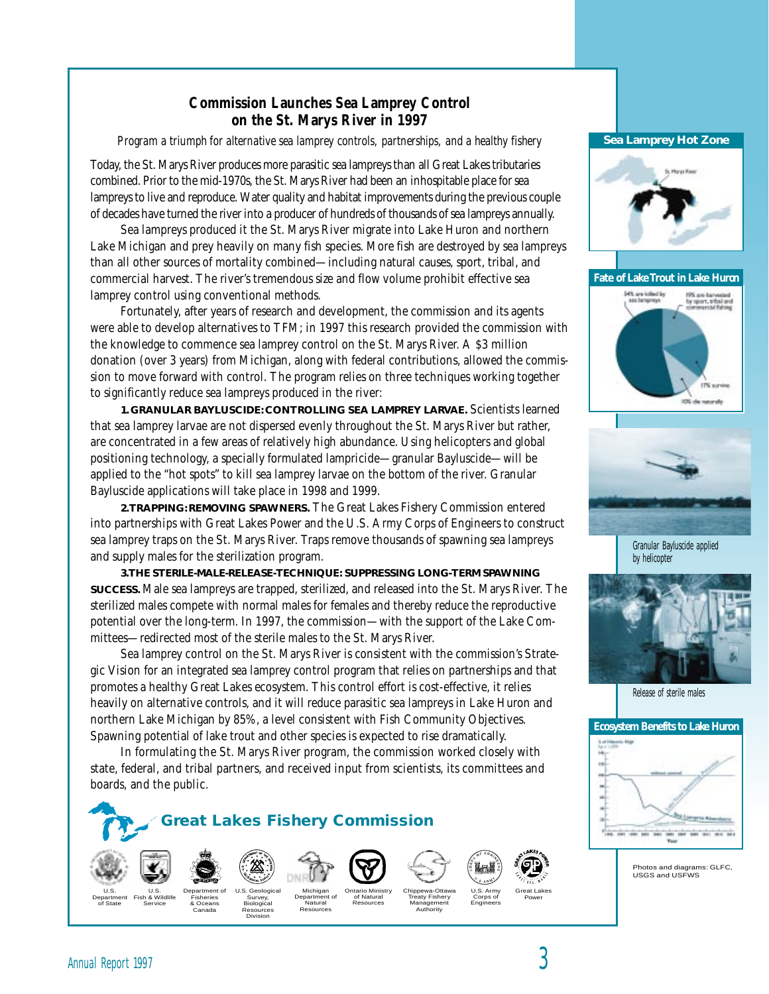# **Commission Launches Sea Lamprey Control on the St. Marys River in 1997**

*Program a triumph for alternative sea lamprey controls, partnerships, and a healthy fishery*

Today, the St. Marys River produces more parasitic sea lampreys than all Great Lakes tributaries combined. Prior to the mid-1970s, the St. Marys River had been an inhospitable place for sea lampreys to live and reproduce. Water quality and habitat improvements during the previous couple of decades have turned the river into a producer of hundreds of thousands of sea lampreys annually.

Sea lampreys produced it the St. Marys River migrate into Lake Huron and northern Lake Michigan and prey heavily on many fish species. More fish are destroyed by sea lampreys than all other sources of mortality combined—including natural causes, sport, tribal, and commercial harvest. The river's tremendous size and flow volume prohibit effective sea lamprey control using conventional methods.

Fortunately, after years of research and development, the commission and its agents were able to develop alternatives to TFM; in 1997 this research provided the commission with the knowledge to commence sea lamprey control on the St. Marys River. A \$3 million donation (over 3 years) from Michigan, along with federal contributions, allowed the commission to move forward with control. The program relies on three techniques working together to significantly reduce sea lampreys produced in the river:

**1. GRANULAR BAYLUSCIDE: CONTROLLING SEA LAMPREY LARVAE.** Scientists learned that sea lamprey larvae are not dispersed evenly throughout the St. Marys River but rather, are concentrated in a few areas of relatively high abundance. Using helicopters and global positioning technology, a specially formulated lampricide—granular Bayluscide—will be applied to the "hot spots" to kill sea lamprey larvae on the bottom of the river. Granular Bayluscide applications will take place in 1998 and 1999.

**2. TRAPPING: REMOVING SPAWNERS.** The Great Lakes Fishery Commission entered into partnerships with Great Lakes Power and the U.S. Army Corps of Engineers to construct sea lamprey traps on the St. Marys River. Traps remove thousands of spawning sea lampreys and supply males for the sterilization program.

**3. THE STERILE-MALE-RELEASE-TECHNIQUE: SUPPRESSING LONG-TERM SPAWNING SUCCESS.** Male sea lampreys are trapped, sterilized, and released into the St. Marys River. The sterilized males compete with normal males for females and thereby reduce the reproductive potential over the long-term. In 1997, the commission—with the support of the Lake Committees—redirected most of the sterile males to the St. Marys River.

Sea lamprey control on the St. Marys River is consistent with the commission's Strategic Vision for an integrated sea lamprey control program that relies on partnerships and that promotes a healthy Great Lakes ecosystem. This control effort is cost-effective, it relies heavily on alternative controls, and it will reduce parasitic sea lampreys in Lake Huron and northern Lake Michigan by 85%, a level consistent with Fish Community Objectives. Spawning potential of lake trout and other species is expected to rise dramatically.

In formulating the St. Marys River program, the commission worked closely with state, federal, and tribal partners, and received input from scientists, its committees and boards, and the public.



### **Sea Lamprey Hot Zone**



**Fate of Lake Trout in Lake Huron**





Granular Bayluscide applied by helicopter



Release of sterile males



Photos and diagrams: GLFC, USGS and USFWS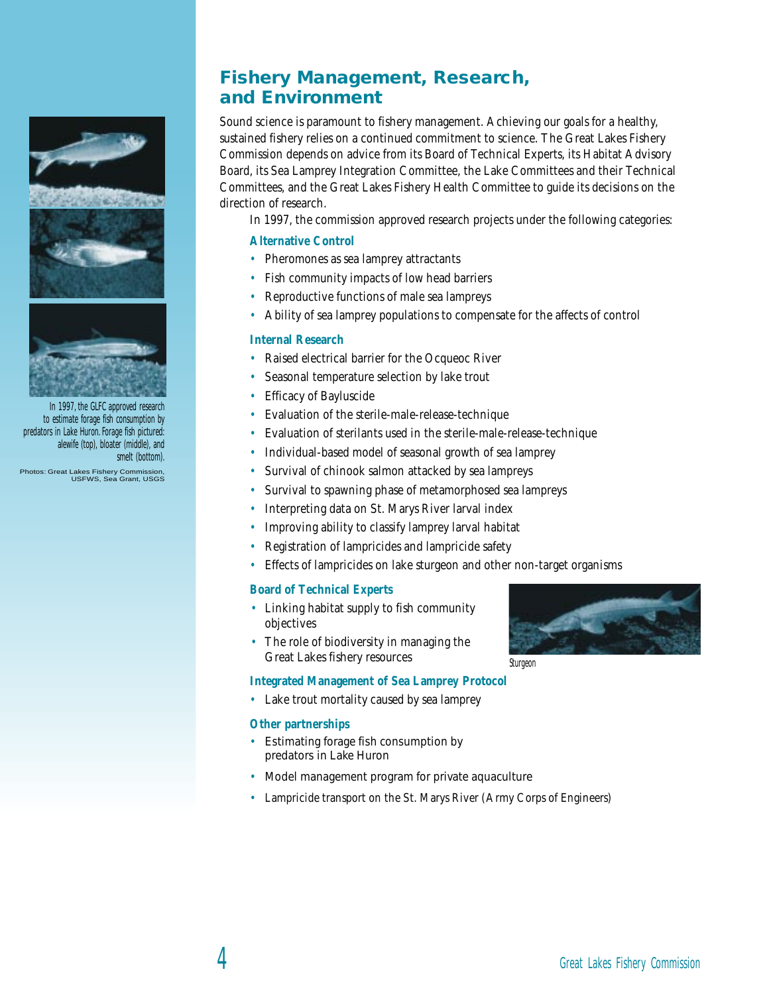

In 1997, the GLFC approved research to estimate forage fish consumption by predators in Lake Huron. Forage fish pictured: alewife (top), bloater (middle), and smelt (bottom).

Photos: Great Lakes Fishery Commission, USFWS, Sea Grant, USGS

# **Fishery Management, Research, and Environment**

Sound science is paramount to fishery management. Achieving our goals for a healthy, sustained fishery relies on a continued commitment to science. The Great Lakes Fishery Commission depends on advice from its Board of Technical Experts, its Habitat Advisory Board, its Sea Lamprey Integration Committee, the Lake Committees and their Technical Committees, and the Great Lakes Fishery Health Committee to guide its decisions on the direction of research.

In 1997, the commission approved research projects under the following categories:

## **Alternative Control**

- Pheromones as sea lamprey attractants
- Fish community impacts of low head barriers
- Reproductive functions of male sea lampreys
- Ability of sea lamprey populations to compensate for the affects of control

## **Internal Research**

- Raised electrical barrier for the Ocqueoc River
- Seasonal temperature selection by lake trout
- Efficacy of Bayluscide
- Evaluation of the sterile-male-release-technique
- Evaluation of sterilants used in the sterile-male-release-technique
- Individual-based model of seasonal growth of sea lamprey
- Survival of chinook salmon attacked by sea lampreys
- Survival to spawning phase of metamorphosed sea lampreys
- Interpreting data on St. Marys River larval index
- Improving ability to classify lamprey larval habitat
- Registration of lampricides and lampricide safety
- Effects of lampricides on lake sturgeon and other non-target organisms

## **Board of Technical Experts**

- Linking habitat supply to fish community objectives
- The role of biodiversity in managing the Great Lakes fishery resources

#### **Integrated Management of Sea Lamprey Protocol**

• Lake trout mortality caused by sea lamprey

### **Other partnerships**

- Estimating forage fish consumption by predators in Lake Huron
- Model management program for private aquaculture
- Lampricide transport on the St. Marys River (Army Corps of Engineers)



Sturgeon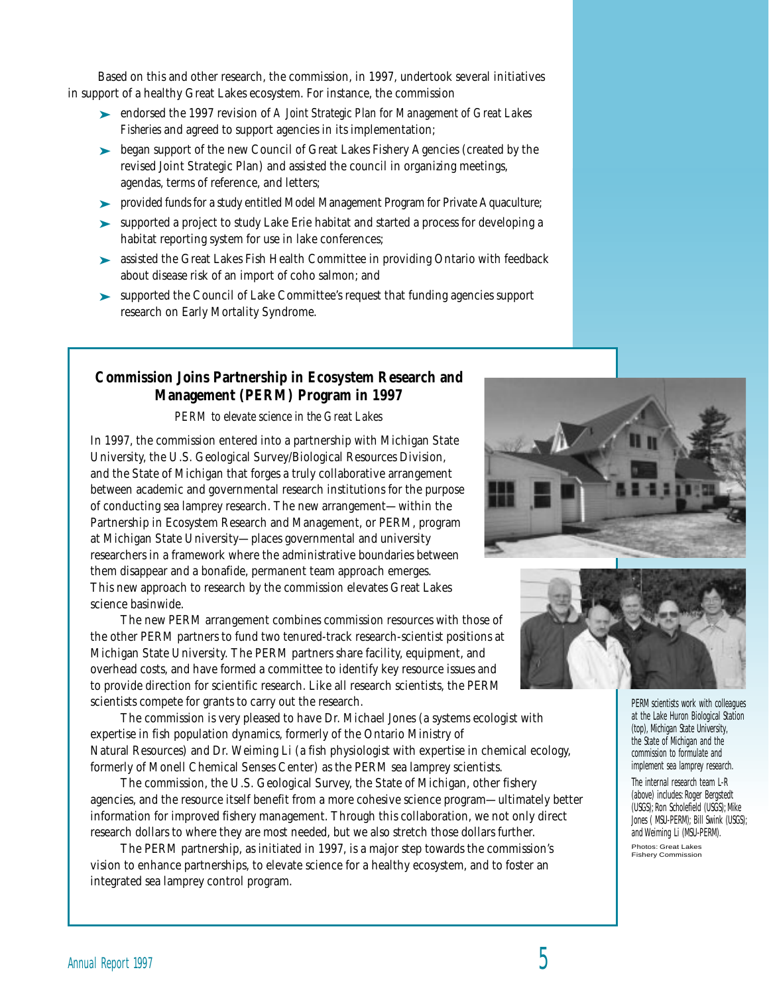Based on this and other research, the commission, in 1997, undertook several initiatives in support of a healthy Great Lakes ecosystem. For instance, the commission

- ➤ endorsed the 1997 revision of *A Joint Strategic Plan for Management of Great Lakes Fisheries* and agreed to support agencies in its implementation;
- ► began support of the new Council of Great Lakes Fishery Agencies (created by the revised Joint Strategic Plan) and assisted the council in organizing meetings, agendas, terms of reference, and letters;
- ➤ provided funds for a study entitled Model Management Program for Private Aquaculture;
- ➤ supported a project to study Lake Erie habitat and started a process for developing a habitat reporting system for use in lake conferences;
- ➤ assisted the Great Lakes Fish Health Committee in providing Ontario with feedback about disease risk of an import of coho salmon; and
- ➤ supported the Council of Lake Committee's request that funding agencies support research on Early Mortality Syndrome.

# **Commission Joins Partnership in Ecosystem Research and Management (PERM) Program in 1997**

*PERM to elevate science in the Great Lakes*

In 1997, the commission entered into a partnership with Michigan State University, the U.S. Geological Survey/Biological Resources Division, and the State of Michigan that forges a truly collaborative arrangement between academic and governmental research institutions for the purpose of conducting sea lamprey research. The new arrangement—within the Partnership in Ecosystem Research and Management, or PERM, program at Michigan State University—places governmental and university researchers in a framework where the administrative boundaries between them disappear and a bonafide, permanent team approach emerges. This new approach to research by the commission elevates Great Lakes science basinwide.

The new PERM arrangement combines commission resources with those of the other PERM partners to fund two tenured-track research-scientist positions at Michigan State University. The PERM partners share facility, equipment, and overhead costs, and have formed a committee to identify key resource issues and to provide direction for scientific research. Like all research scientists, the PERM scientists compete for grants to carry out the research.

The commission is very pleased to have Dr. Michael Jones (a systems ecologist with expertise in fish population dynamics, formerly of the Ontario Ministry of Natural Resources) and Dr. Weiming Li (a fish physiologist with expertise in chemical ecology, formerly of Monell Chemical Senses Center) as the PERM sea lamprey scientists.

The commission, the U.S. Geological Survey, the State of Michigan, other fishery agencies, and the resource itself benefit from a more cohesive science program—ultimately better information for improved fishery management. Through this collaboration, we not only direct research dollars to where they are most needed, but we also stretch those dollars further.

The PERM partnership, as initiated in 1997, is a major step towards the commission's vision to enhance partnerships, to elevate science for a healthy ecosystem, and to foster an integrated sea lamprey control program.





PERM scientists work with colleagues at the Lake Huron Biological Station (top), Michigan State University, the State of Michigan and the commission to formulate and implement sea lamprey research.

The internal research team L-R (above) includes: Roger Bergstedt (USGS); Ron Scholefield (USGS); Mike Jones ( MSU-PERM); Bill Swink (USGS); and Weiming Li (MSU-PERM). Photos: Great Lakes **Fishery Commission**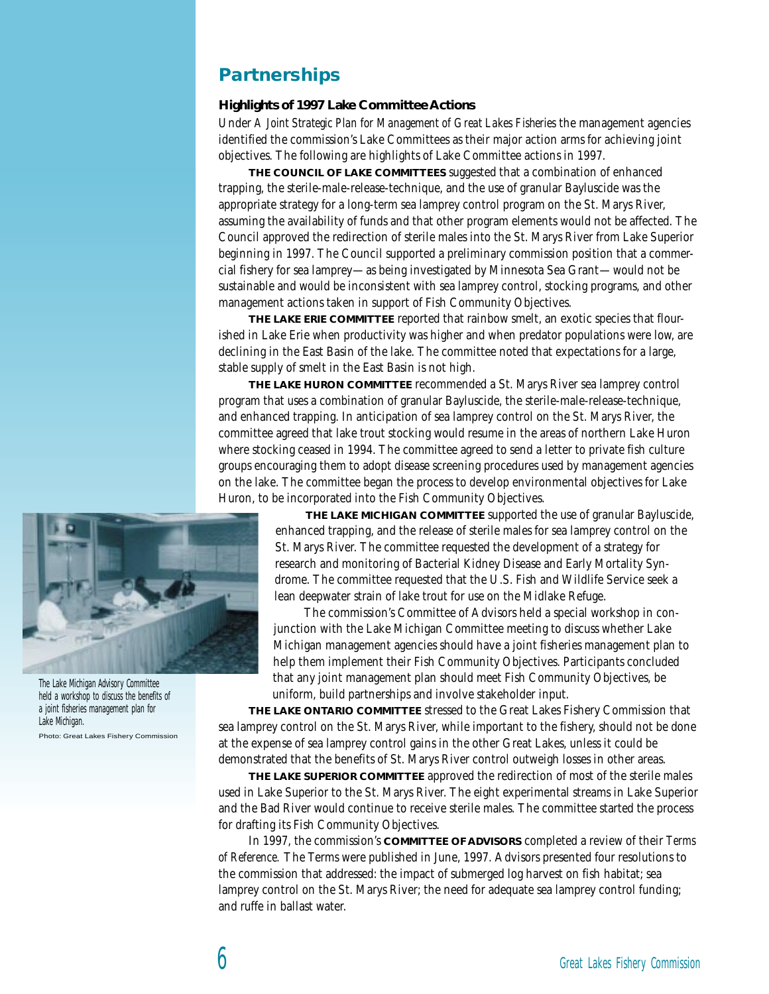# **Partnerships**

### **Highlights of 1997 Lake Committee Actions**

Under *A Joint Strategic Plan for Management of Great Lakes Fisheries* the management agencies identified the commission's Lake Committees as their major action arms for achieving joint objectives. The following are highlights of Lake Committee actions in 1997.

**THE COUNCIL OF LAKE COMMITTEES** suggested that a combination of enhanced trapping, the sterile-male-release-technique, and the use of granular Bayluscide was the appropriate strategy for a long-term sea lamprey control program on the St. Marys River, assuming the availability of funds and that other program elements would not be affected. The Council approved the redirection of sterile males into the St. Marys River from Lake Superior beginning in 1997. The Council supported a preliminary commission position that a commercial fishery for sea lamprey—as being investigated by Minnesota Sea Grant—would not be sustainable and would be inconsistent with sea lamprey control, stocking programs, and other management actions taken in support of Fish Community Objectives.

**THE LAKE ERIE COMMITTEE** reported that rainbow smelt, an exotic species that flourished in Lake Erie when productivity was higher and when predator populations were low, are declining in the East Basin of the lake. The committee noted that expectations for a large, stable supply of smelt in the East Basin is not high.

**THE LAKE HURON COMMITTEE** recommended a St. Marys River sea lamprey control program that uses a combination of granular Bayluscide, the sterile-male-release-technique, and enhanced trapping. In anticipation of sea lamprey control on the St. Marys River, the committee agreed that lake trout stocking would resume in the areas of northern Lake Huron where stocking ceased in 1994. The committee agreed to send a letter to private fish culture groups encouraging them to adopt disease screening procedures used by management agencies on the lake. The committee began the process to develop environmental objectives for Lake Huron, to be incorporated into the Fish Community Objectives.



The Lake Michigan Advisory Committee held a workshop to discuss the benefits of a joint fisheries management plan for Lake Michigan. Photo: Great Lakes Fishery Commission

**THE LAKE MICHIGAN COMMITTEE** supported the use of granular Bayluscide, enhanced trapping, and the release of sterile males for sea lamprey control on the St. Marys River. The committee requested the development of a strategy for research and monitoring of Bacterial Kidney Disease and Early Mortality Syndrome. The committee requested that the U.S. Fish and Wildlife Service seek a lean deepwater strain of lake trout for use on the Midlake Refuge.

The commission's Committee of Advisors held a special workshop in conjunction with the Lake Michigan Committee meeting to discuss whether Lake Michigan management agencies should have a joint fisheries management plan to help them implement their Fish Community Objectives. Participants concluded that any joint management plan should meet Fish Community Objectives, be uniform, build partnerships and involve stakeholder input.

**THE LAKE ONTARIO COMMITTEE** stressed to the Great Lakes Fishery Commission that sea lamprey control on the St. Marys River, while important to the fishery, should not be done at the expense of sea lamprey control gains in the other Great Lakes, unless it could be demonstrated that the benefits of St. Marys River control outweigh losses in other areas.

**THE LAKE SUPERIOR COMMITTEE** approved the redirection of most of the sterile males used in Lake Superior to the St. Marys River. The eight experimental streams in Lake Superior and the Bad River would continue to receive sterile males. The committee started the process for drafting its Fish Community Objectives.

In 1997, the commission's **COMMITTEE OF ADVISORS** completed a review of their *Terms of Reference.* The Terms were published in June, 1997. Advisors presented four resolutions to the commission that addressed: the impact of submerged log harvest on fish habitat; sea lamprey control on the St. Marys River; the need for adequate sea lamprey control funding; and ruffe in ballast water.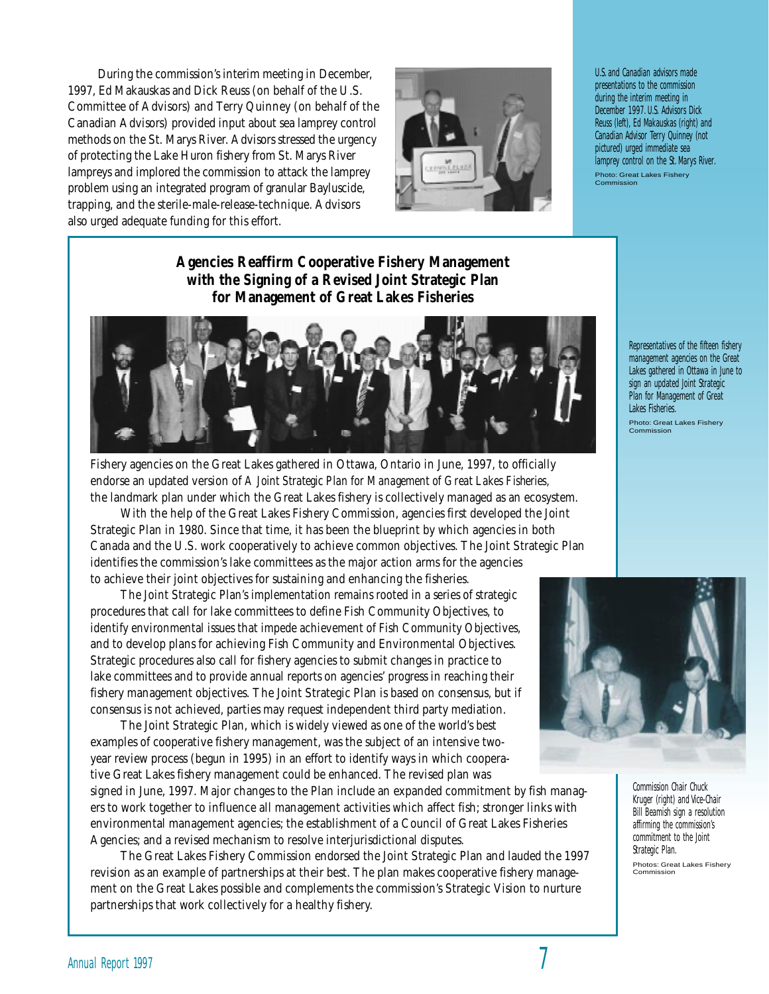During the commission's interim meeting in December, 1997, Ed Makauskas and Dick Reuss (on behalf of the U.S. Committee of Advisors) and Terry Quinney (on behalf of the Canadian Advisors) provided input about sea lamprey control methods on the St. Marys River. Advisors stressed the urgency of protecting the Lake Huron fishery from St. Marys River lampreys and implored the commission to attack the lamprey problem using an integrated program of granular Bayluscide, trapping, and the sterile-male-release-technique. Advisors also urged adequate funding for this effort.



U.S. and Canadian advisors made presentations to the commission during the interim meeting in December 1997. U.S. Advisors Dick Reuss (left), Ed Makauskas (right) and Canadian Advisor Terry Quinney (not pictured) urged immediate sea lamprey control on the St. Marys River. Photo: Great Lakes Fishery Commission

**Agencies Reaffirm Cooperative Fishery Management with the Signing of a Revised Joint Strategic Plan for Management of Great Lakes Fisheries**



Fishery agencies on the Great Lakes gathered in Ottawa, Ontario in June, 1997, to officially endorse an updated version of *A Joint Strategic Plan for Management of Great Lakes Fisheries,* the landmark plan under which the Great Lakes fishery is collectively managed as an ecosystem.

With the help of the Great Lakes Fishery Commission, agencies first developed the Joint Strategic Plan in 1980. Since that time, it has been the blueprint by which agencies in both Canada and the U.S. work cooperatively to achieve common objectives. The Joint Strategic Plan identifies the commission's lake committees as the major action arms for the agencies to achieve their joint objectives for sustaining and enhancing the fisheries.

The Joint Strategic Plan's implementation remains rooted in a series of strategic procedures that call for lake committees to define Fish Community Objectives, to identify environmental issues that impede achievement of Fish Community Objectives, and to develop plans for achieving Fish Community and Environmental Objectives. Strategic procedures also call for fishery agencies to submit changes in practice to lake committees and to provide annual reports on agencies' progress in reaching their fishery management objectives. The Joint Strategic Plan is based on consensus, but if consensus is not achieved, parties may request independent third party mediation.

The Joint Strategic Plan, which is widely viewed as one of the world's best examples of cooperative fishery management, was the subject of an intensive twoyear review process (begun in 1995) in an effort to identify ways in which cooperative Great Lakes fishery management could be enhanced. The revised plan was

signed in June, 1997. Major changes to the Plan include an expanded commitment by fish managers to work together to influence all management activities which affect fish; stronger links with environmental management agencies; the establishment of a Council of Great Lakes Fisheries Agencies; and a revised mechanism to resolve interjurisdictional disputes.

The Great Lakes Fishery Commission endorsed the Joint Strategic Plan and lauded the 1997 revision as an example of partnerships at their best. The plan makes cooperative fishery management on the Great Lakes possible and complements the commission's Strategic Vision to nurture partnerships that work collectively for a healthy fishery.

Lakes gathered in Ottawa in June to sign an updated Joint Strategic Plan for Management of Great Lakes Fisheries. Photo: Great Lakes Fishery Commission

Representatives of the fifteen fishery management agencies on the Great



Commission Chair Chuck Kruger (right) and Vice-Chair Bill Beamish sign a resolution affirming the commission's commitment to the Joint Strategic Plan. Photos: Great Lakes Fishery Commission